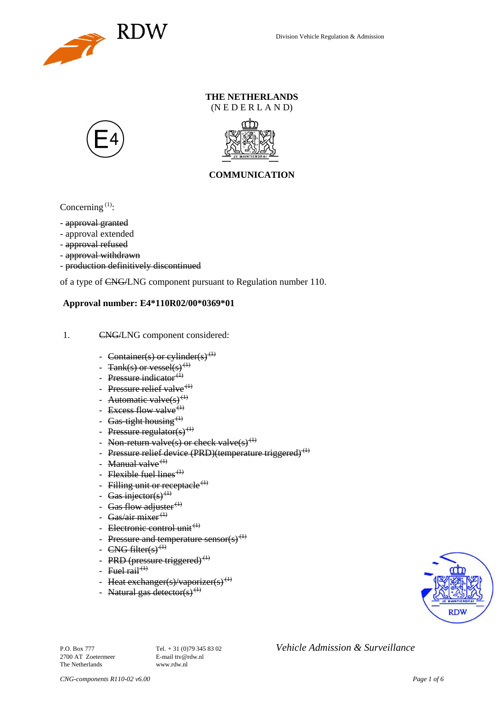

### **THE NETHERLANDS**  $(N E D E R L A N D)$





## **COMMUNICATION**

Concerning  $(1)$ :

- approval granted
- approval extended
- approval refused
- approval withdrawn
- production definitively discontinued

of a type of CNG/LNG component pursuant to Regulation number 110.

#### **Approval number: E4\*110R02/00\*0369\*01**

- 1. CNG/LNG component considered:
	- Container(s) or cylinder(s)<sup>(1)</sup>
	- Tank(s) or vessel(s)<sup>(1)</sup>
	- Pressure indicator $<sup>(1)</sup>$ </sup>
	- Pressure relief valve  $(1)$
	- Automatic valve $(s)^{(1)}$
	- Excess flow valve<sup>(1)</sup>
	- Gas-tight housing  $(1)$
	- Pressure regulator(s)<sup>(1)</sup>
	- Non-return valve(s) or check valve(s)<sup>(1)</sup>
	- Pressure relief device (PRD)(temperature triggered)<sup>(1)</sup>
	- Manual valve<sup> $(1)$ </sup>
	- Flexible fuel lines<sup> $(1)$ </sup>
	- Filling unit or receptacle<sup> $(1)$ </sup>
	- Gas injector(s)<sup>(1)</sup>
	- Gas flow adjuster $(1)$
	- Gas/air mixer<sup>(1)</sup>
	- Electronic control unit<sup>(1)</sup>
	- Pressure and temperature sensor(s)<sup>(1)</sup>
	- CNG filter(s) $^{(1)}$
	- PRD (pressure triggered)<sup>(1)</sup>
	- Fuel  $\operatorname{fail}^{(1)}$
	- Heat exchanger(s)/vaporizer(s)<sup>(1)</sup>
	- Natural gas detector(s)<sup>(1)</sup>



2700 AT Zoetermeer The Netherlands www.rdw.nl

P.O. Box 777<br> **P.O. Box 777** Tel. + 31 (0)79 345 83 02 *Vehicle Admission & Surveillance*<br>
F-mail tty@rdw.nl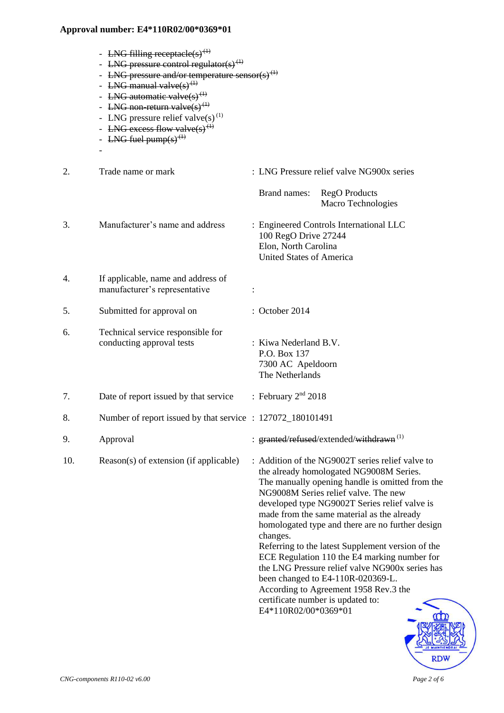- LNG filling receptacle(s)<sup>(1)</sup>
- LNG pressure control regulator(s)<sup>(1)</sup>
- LNG pressure and/or temperature sensor(s)<sup> $\theta$ </sup>
- LNG manual valve $(s)$ <sup>(1)</sup>
- LNG automatic valve $(s)^{(1)}$
- LNG non-return valve $(s)^{(1)}$
- LNG pressure relief valve(s)<sup>(1)</sup>
- LNG excess flow valve(s)<sup> $($ </sup>
- LNG fuel pump(s)<sup> $(1)$ </sup>

-

- 2. Trade name or mark : LNG Pressure relief valve NG900x series Brand names: RegO Products Macro Technologies 3. Manufacturer's name and address : Engineered Controls International LLC 100 RegO Drive 27244 Elon, North Carolina United States of America 4. If applicable, name and address of manufacturer's representative : 5. Submitted for approval on : October 2014 6. Technical service responsible for conducting approval tests : Kiwa Nederland B.V. P.O. Box 137 7300 AC Apeldoorn The Netherlands 7. Date of report issued by that service : February  $2<sup>nd</sup>$  2018 8. Number of report issued by that service : 127072\_180101491 9. Approval : granted/refused/extended/withdrawn<sup>(1)</sup>
- 

10. Reason(s) of extension (if applicable) : Addition of the NG9002T series relief valve to the already homologated NG9008M Series. The manually opening handle is omitted from the NG9008M Series relief valve. The new developed type NG9002T Series relief valve is made from the same material as the already homologated type and there are no further design changes. Referring to the latest Supplement version of the

ECE Regulation 110 the E4 marking number for the LNG Pressure relief valve NG900x series has been changed to E4-110R-020369-L. According to Agreement 1958 Rev.3 the certificate number is updated to: E4\*110R02/00\*0369\*01

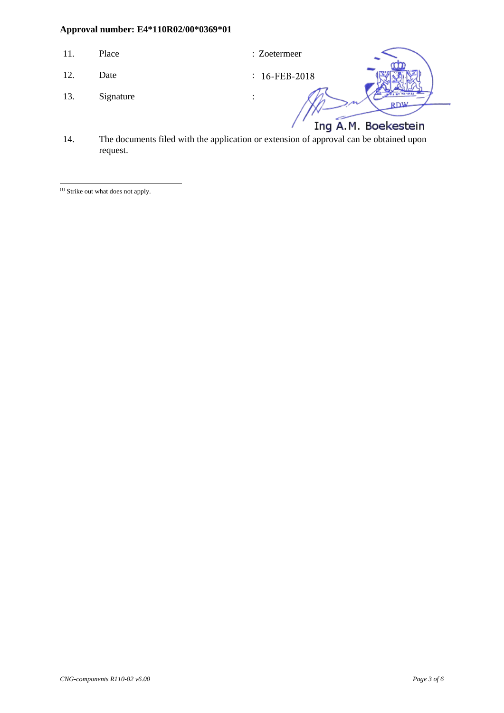- 11. Place : Zoetermeer
	-

- 12. Date
- 13. Signature :

16-FEB-2018

Ing A.M. Boekestein

14. The documents filed with the application or extension of approval can be obtained upon request.

(1) Strike out what does not apply.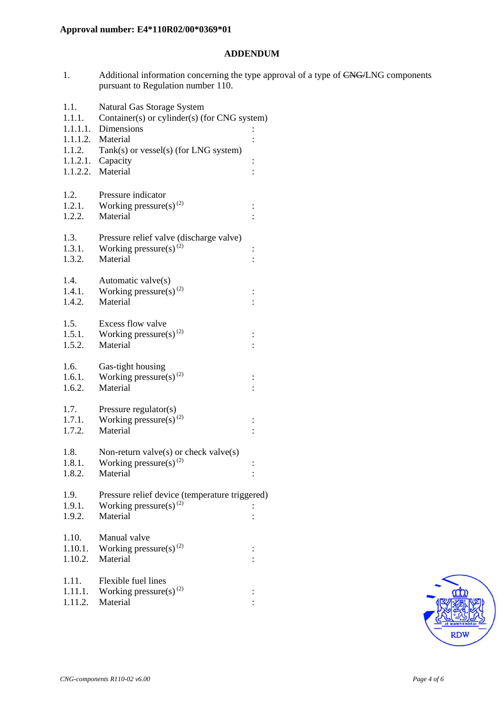### **ADDENDUM**

1. Additional information concerning the type approval of a type of CNG/LNG components pursuant to Regulation number 110.

| 1.1.<br>1.1.1.   | Natural Gas Storage System<br>Container(s) or cylinder(s) (for CNG system) |                |
|------------------|----------------------------------------------------------------------------|----------------|
|                  | 1.1.1.1. Dimensions                                                        |                |
|                  | 1.1.1.2. Material                                                          |                |
| 1.1.2.           | Tank(s) or vessel(s) (for LNG system)                                      |                |
|                  | $1.1.2.1.$ Capacity                                                        |                |
|                  | 1.1.2.2. Material                                                          | $\vdots$       |
|                  |                                                                            |                |
| 1.2.             | Pressure indicator                                                         |                |
| 1.2.1.           | Working pressure(s) $^{(2)}$                                               | $\ddot{\cdot}$ |
| 1.2.2.           | Material                                                                   |                |
| 1.3.             | Pressure relief valve (discharge valve)                                    |                |
| 1.3.1.           | Working pressure(s) $^{(2)}$                                               | $\vdots$       |
| 1.3.2.           | Material                                                                   |                |
|                  |                                                                            |                |
| 1.4.             | Automatic valve(s)                                                         |                |
| 1.4.1.           | Working pressure(s) $^{(2)}$                                               |                |
| 1.4.2.           | Material                                                                   |                |
|                  |                                                                            |                |
| 1.5.             | Excess flow valve                                                          |                |
| 1.5.1.<br>1.5.2. | Working pressure(s) $^{(2)}$<br>Material                                   | $\vdots$       |
|                  |                                                                            |                |
| 1.6.             | Gas-tight housing                                                          |                |
| 1.6.1.           | Working pressure(s) $^{(2)}$                                               |                |
| 1.6.2.           | Material                                                                   |                |
|                  |                                                                            |                |
| 1.7.             | Pressure regulator(s)                                                      |                |
| 1.7.1.           | Working pressure(s) <sup>(2)</sup>                                         | $\vdots$       |
| 1.7.2.           | Material                                                                   |                |
| 1.8.             | Non-return valve $(s)$ or check valve $(s)$                                |                |
| 1.8.1.           | Working pressure(s) <sup>(2)</sup>                                         | $\vdots$       |
| 1.8.2.           | Material                                                                   | $\vdots$       |
|                  |                                                                            |                |
| 1.9.             | Pressure relief device (temperature triggered)                             |                |
| 1.9.1.           | Working pressure(s) $(2)$                                                  |                |
| 1.9.2.           | Material                                                                   |                |
|                  |                                                                            |                |
| 1.10.<br>1.10.1. | Manual valve<br>Working pressure(s) <sup>(2)</sup>                         |                |
| 1.10.2.          | Material                                                                   | $\ddot{\cdot}$ |
|                  |                                                                            |                |
| 1.11.            | Flexible fuel lines                                                        |                |
| 1.11.1.          | Working pressure(s) <sup>(2)</sup>                                         |                |
| 1.11.2.          | Material                                                                   |                |
|                  |                                                                            |                |

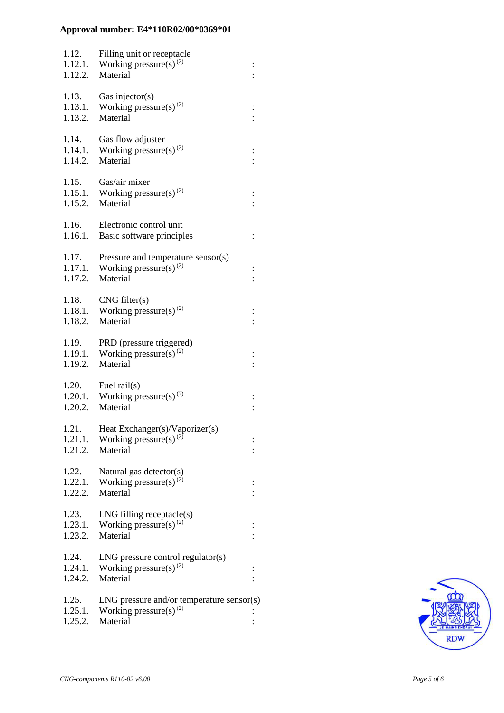| 1.12.<br>1.12.1.<br>1.12.2. | Filling unit or receptacle<br>Working pressure(s) <sup>(2)</sup><br>Material            | $\vdots$ |
|-----------------------------|-----------------------------------------------------------------------------------------|----------|
| 1.13.<br>1.13.1.<br>1.13.2. | Gas injector( $s$ )<br>Working pressure(s) $^{(2)}$<br>Material                         |          |
| 1.14.<br>1.14.1.<br>1.14.2. | Gas flow adjuster<br>Working pressure(s) $^{(2)}$<br>Material                           |          |
| 1.15.<br>1.15.1.<br>1.15.2. | Gas/air mixer<br>Working pressure(s) $^{(2)}$<br>Material                               |          |
| 1.16.<br>1.16.1.            | Electronic control unit<br>Basic software principles                                    |          |
| 1.17.<br>1.17.1.<br>1.17.2. | Pressure and temperature sensor(s)<br>Working pressure(s) <sup>(2)</sup><br>Material    | $\vdots$ |
| 1.18.<br>1.18.1.<br>1.18.2. | CNG filter(s)<br>Working pressure(s) <sup>(2)</sup><br>Material                         |          |
| 1.19.<br>1.19.1.<br>1.19.2. | PRD (pressure triggered)<br>Working pressure(s) <sup>(2)</sup><br>Material              |          |
| 1.20.<br>1.20.2.            | Fuel $\text{raid}(s)$<br>1.20.1. Working pressure(s) <sup>(2)</sup><br>Material         |          |
| 1.21.<br>1.21.1.<br>1.21.2. | Heat Exchanger(s)/Vaporizer(s)<br>Working pressure(s) <sup>(2)</sup><br>Material        |          |
| 1.22.<br>1.22.1.<br>1.22.2. | Natural gas detector(s)<br>Working pressure(s) <sup>(2)</sup><br>Material               |          |
| 1.23.<br>1.23.1.<br>1.23.2. | $LNG$ filling receptacle $(s)$<br>Working pressure(s) <sup>(2)</sup><br>Material        |          |
| 1.24.<br>1.24.1.<br>1.24.2. | $LNG$ pressure control regulator(s)<br>Working pressure(s) <sup>(2)</sup><br>Material   |          |
| 1.25.<br>1.25.1.<br>1.25.2. | $LNG$ pressure and/or temperature sensor(s)<br>Working pressure(s) $^{(2)}$<br>Material |          |